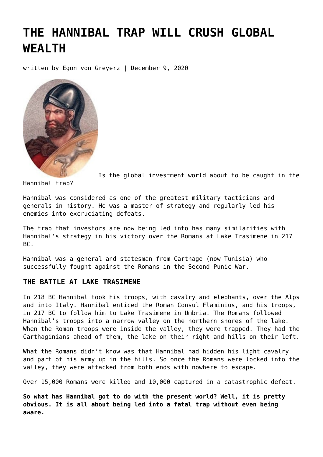# **[THE HANNIBAL TRAP WILL CRUSH GLOBAL](https://goldswitzerland.com/the-hannibal-trap-will-crush-global-wealth/) [WEALTH](https://goldswitzerland.com/the-hannibal-trap-will-crush-global-wealth/)**

written by Egon von Greyerz | December 9, 2020



Is the global investment world about to be caught in the

Hannibal trap?

Hannibal was considered as one of the greatest military tacticians and generals in history. He was a master of strategy and regularly led his enemies into excruciating defeats.

The trap that investors are now being led into has many similarities with Hannibal's strategy in his victory over the Romans at Lake Trasimene in 217 BC.

Hannibal was a general and statesman from Carthage (now Tunisia) who successfully fought against the Romans in the Second Punic War.

# **THE BATTLE AT LAKE TRASIMENE**

In 218 BC Hannibal took his troops, with cavalry and elephants, over the Alps and into Italy. Hannibal enticed the Roman Consul Flaminius, and his troops, in 217 BC to follow him to Lake Trasimene in Umbria. The Romans followed Hannibal's troops into a narrow valley on the northern shores of the lake. When the Roman troops were inside the valley, they were trapped. They had the Carthaginians ahead of them, the lake on their right and hills on their left.

What the Romans didn't know was that Hannibal had hidden his light cavalry and part of his army up in the hills. So once the Romans were locked into the valley, they were attacked from both ends with nowhere to escape.

Over 15,000 Romans were killed and 10,000 captured in a catastrophic defeat.

**So what has Hannibal got to do with the present world? Well, it is pretty obvious. It is all about being led into a fatal trap without even being aware.**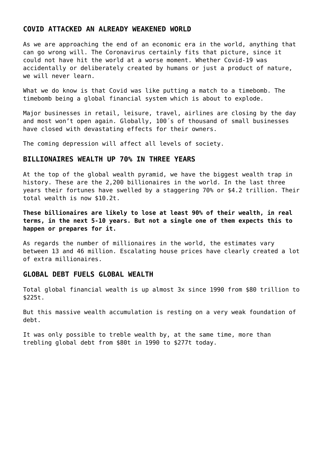#### **COVID ATTACKED AN ALREADY WEAKENED WORLD**

As we are approaching the end of an economic era in the world, anything that can go wrong will. The Coronavirus certainly fits that picture, since it could not have hit the world at a worse moment. Whether Covid-19 was accidentally or deliberately created by humans or just a product of nature, we will never learn.

What we do know is that Covid was like putting a match to a timebomb. The timebomb being a global financial system which is about to explode.

Major businesses in retail, leisure, travel, airlines are closing by the day and most won't open again. Globally, 100´s of thousand of small businesses have closed with devastating effects for their owners.

The coming depression will affect all levels of society.

#### **BILLIONAIRES WEALTH UP 70% IN THREE YEARS**

At the top of the global wealth pyramid, we have the biggest wealth trap in history. These are the 2,200 billionaires in the world. In the last three years their fortunes have swelled by a staggering 70% or \$4.2 trillion. Their total wealth is now \$10.2t.

**These billionaires are likely to lose at least 90% of their wealth, in real terms, in the next 5-10 years. But not a single one of them expects this to happen or prepares for it.**

As regards the number of millionaires in the world, the estimates vary between 13 and 46 million. Escalating house prices have clearly created a lot of extra millionaires.

#### **GLOBAL DEBT FUELS GLOBAL WEALTH**

Total global financial wealth is up almost 3x since 1990 from \$80 trillion to \$225t.

But this massive wealth accumulation is resting on a very weak foundation of debt.

It was only possible to treble wealth by, at the same time, more than trebling global debt from \$80t in 1990 to \$277t today.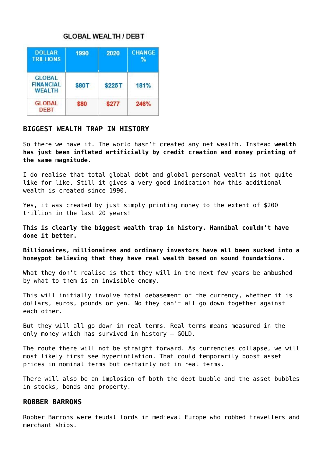## **GLOBAL WEALTH / DEBT**

| <b>DOLLAR</b><br><b>TRILLIONS</b>                  | 1990  | 2020   | <b>CHANGE</b><br>℀ |
|----------------------------------------------------|-------|--------|--------------------|
| <b>GLOBAL</b><br><b>FINANCIAL</b><br><b>WEALTH</b> | \$80T | \$225T | 181%               |
| <b>GLOBAL</b><br><b>DEBT</b>                       | \$80  | \$277  | 246%               |

# **BIGGEST WEALTH TRAP IN HISTORY**

So there we have it. The world hasn't created any net wealth. Instead **wealth has just been inflated artificially by credit creation and money printing of the same magnitude.**

I do realise that total global debt and global personal wealth is not quite like for like. Still it gives a very good indication how this additional wealth is created since 1990.

Yes, it was created by just simply printing money to the extent of \$200 trillion in the last 20 years!

**This is clearly the biggest wealth trap in history. Hannibal couldn't have done it better.**

**Billionaires, millionaires and ordinary investors have all been sucked into a honeypot believing that they have real wealth based on sound foundations.**

What they don't realise is that they will in the next few years be ambushed by what to them is an invisible enemy.

This will initially involve total debasement of the currency, whether it is dollars, euros, pounds or yen. No they can't all go down together against each other.

But they will all go down in real terms. Real terms means measured in the only money which has survived in history – GOLD.

The route there will not be straight forward. As currencies collapse, we will most likely first see hyperinflation. That could temporarily boost asset prices in nominal terms but certainly not in real terms.

There will also be an implosion of both the debt bubble and the asset bubbles in stocks, bonds and property.

#### **ROBBER BARRONS**

Robber Barrons were feudal lords in medieval Europe who robbed travellers and merchant ships.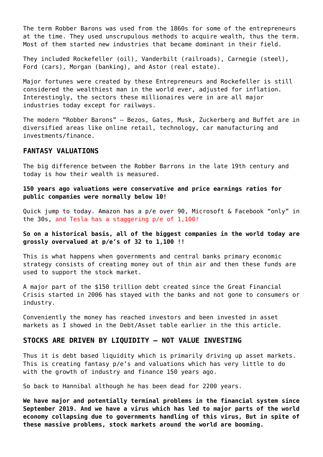The term Robber Barons was used from the 1860s for some of the entrepreneurs at the time. They used unscrupulous methods to acquire wealth, thus the term. Most of them started new industries that became dominant in their field.

They included Rockefeller (oil), Vanderbilt (railroads), Carnegie (steel), Ford (cars), Morgan (banking), and Astor (real estate).

Major fortunes were created by these Entrepreneurs and Rockefeller is still considered the wealthiest man in the world ever, adjusted for inflation. Interestingly, the sectors these millionaires were in are all major industries today except for railways.

The modern "Robber Barons" – Bezos, Gates, Musk, Zuckerberg and Buffet are in diversified areas like online retail, technology, car manufacturing and investments/finance.

#### **FANTASY VALUATIONS**

The big difference between the Robber Barrons in the late 19th century and today is how their wealth is measured.

**150 years ago valuations were conservative and price earnings ratios for public companies were normally below 10!**

Quick jump to today. Amazon has a p/e over 90, Microsoft & Facebook "only" in the 30s, and Tesla has a staggering p/e of 1,100!

#### **So on a historical basis, all of the biggest companies in the world today are grossly overvalued at p/e's of 32 to 1,100 !!**

This is what happens when governments and central banks primary economic strategy consists of creating money out of thin air and then these funds are used to support the stock market.

A major part of the \$150 trillion debt created since the Great Financial Crisis started in 2006 has stayed with the banks and not gone to consumers or industry.

Conveniently the money has reached investors and been invested in asset markets as I showed in the Debt/Asset table earlier in the this article.

#### **STOCKS ARE DRIVEN BY LIQUIDITY – NOT VALUE INVESTING**

Thus it is debt based liquidity which is primarily driving up asset markets. This is creating fantasy p/e's and valuations which has very little to do with the growth of industry and finance 150 years ago.

So back to Hannibal although he has been dead for 2200 years.

**We have major and potentially terminal problems in the financial system since September 2019. And we have a virus which has led to major parts of the world economy collapsing due to governments handling of this virus, But in spite of these massive problems, stock markets around the world are booming.**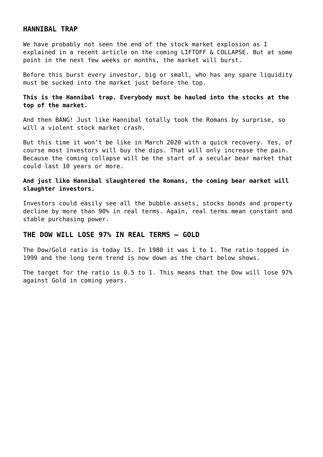#### **HANNIBAL TRAP**

We have probably not seen the end of the stock market explosion as I explained in a recent article on the coming [LIFTOFF & COLLAPSE](https://goldswitzerland.com/liftoff-collapse/). But at some point in the next few weeks or months, the market will burst.

Before this burst every investor, big or small, who has any spare liquidity must be sucked into the market just before the top.

**This is the Hannibal trap. Everybody must be hauled into the stocks at the top of the market.**

And then BANG! Just like Hannibal totally took the Romans by surprise, so will a violent stock market crash.

But this time it won't be like in March 2020 with a quick recovery. Yes, of course most investors will buy the dips. That will only increase the pain. Because the coming collapse will be the start of a secular bear market that could last 10 years or more.

#### **And just like Hannibal slaughtered the Romans, the coming bear market will slaughter investors.**

Investors could easily see all the bubble assets, stocks bonds and property decline by more than 90% in real terms. Again, real terms mean constant and stable purchasing power.

# **THE DOW WILL LOSE 97% IN REAL TERMS – GOLD**

The Dow/Gold ratio is today 15. In 1980 it was 1 to 1. The ratio topped in 1999 and the long term trend is now down as the chart below shows.

The target for the ratio is 0.5 to 1. This means that the Dow will lose 97% against Gold in coming years.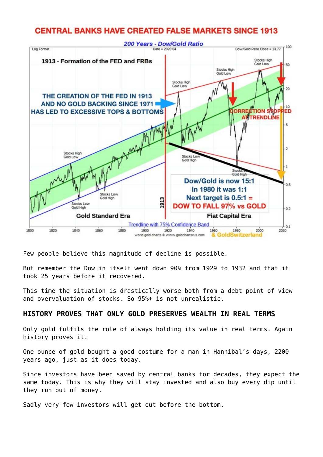# **CENTRAL BANKS HAVE CREATED FALSE MARKETS SINCE 1913**



Few people believe this magnitude of decline is possible.

But remember the Dow in itself went down 90% from 1929 to 1932 and that it took 25 years before it recovered.

This time the situation is drastically worse both from a debt point of view and overvaluation of stocks. So 95%+ is not unrealistic.

### **HISTORY PROVES THAT ONLY GOLD PRESERVES WEALTH IN REAL TERMS**

Only gold fulfils the role of always holding its value in real terms. Again history proves it.

One ounce of gold bought a good costume for a man in Hannibal's days, 2200 years ago, just as it does today.

Since investors have been saved by central banks for decades, they expect the same today. This is why they will stay invested and also buy every dip until they run out of money.

Sadly very few investors will get out before the bottom.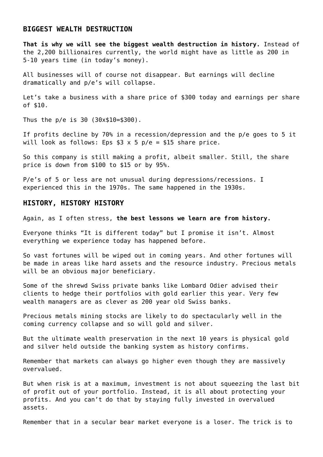#### **BIGGEST WEALTH DESTRUCTION**

**That is why we will see the biggest wealth destruction in history.** Instead of the 2,200 billionaires currently, the world might have as little as 200 in 5-10 years time (in today's money).

All businesses will of course not disappear. But earnings will decline dramatically and p/e's will collapse.

Let's take a business with a share price of \$300 today and earnings per share of \$10.

Thus the p/e is 30 (30x\$10=\$300).

If profits decline by 70% in a recession/depression and the p/e goes to 5 it will look as follows: Eps  $$3 \times 5$  p/e = \$15 share price.

So this company is still making a profit, albeit smaller. Still, the share price is down from \$100 to \$15 or by 95%.

P/e's of 5 or less are not unusual during depressions/recessions. I experienced this in the 1970s. The same happened in the 1930s.

#### **HISTORY, HISTORY HISTORY**

Again, as I often stress, **the best lessons we learn are from history.**

Everyone thinks "It is different today" but I promise it isn't. Almost everything we experience today has happened before.

So vast fortunes will be wiped out in coming years. And other fortunes will be made in areas like hard assets and the resource industry. Precious metals will be an obvious major beneficiary.

Some of the shrewd Swiss private banks like Lombard Odier advised their clients to hedge their portfolios with gold earlier this year. Very few wealth managers are as clever as 200 year old Swiss banks.

Precious metals mining stocks are likely to do spectacularly well in the coming currency collapse and so will gold and silver.

But the ultimate wealth preservation in the next 10 years is physical gold and silver held outside the banking system as history confirms.

Remember that markets can always go higher even though they are massively overvalued.

But when risk is at a maximum, investment is not about squeezing the last bit of profit out of your portfolio. Instead, it is all about protecting your profits. And you can't do that by staying fully invested in overvalued assets.

Remember that in a secular bear market everyone is a loser. The trick is to